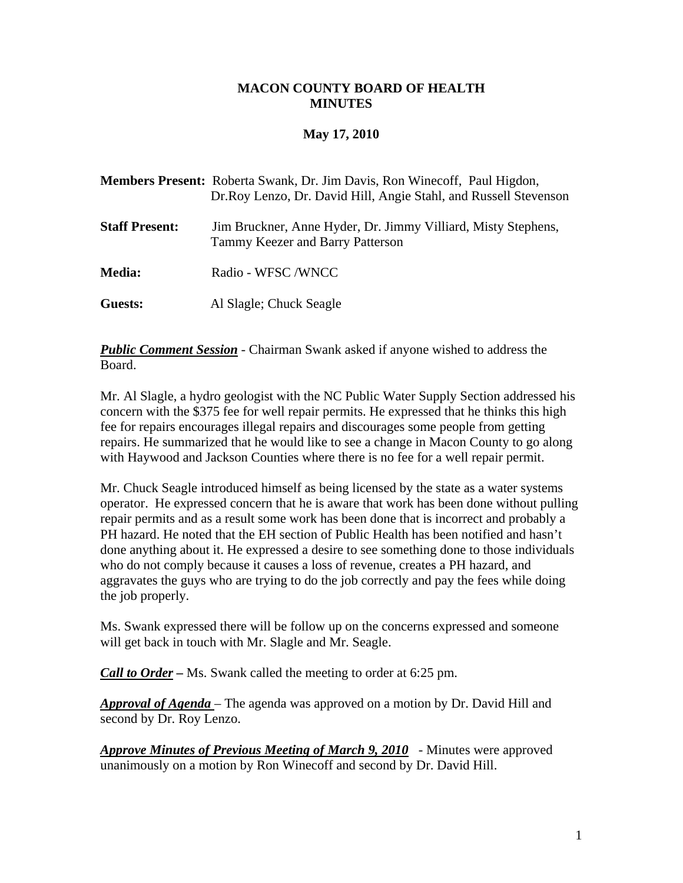## **MACON COUNTY BOARD OF HEALTH MINUTES**

# **May 17, 2010**

|                       | <b>Members Present:</b> Roberta Swank, Dr. Jim Davis, Ron Winecoff, Paul Higdon,<br>Dr.Roy Lenzo, Dr. David Hill, Angie Stahl, and Russell Stevenson |
|-----------------------|------------------------------------------------------------------------------------------------------------------------------------------------------|
| <b>Staff Present:</b> | Jim Bruckner, Anne Hyder, Dr. Jimmy Villiard, Misty Stephens,<br>Tammy Keezer and Barry Patterson                                                    |
| <b>Media:</b>         | Radio - WFSC /WNCC                                                                                                                                   |
| Guests:               | Al Slagle; Chuck Seagle                                                                                                                              |

*Public Comment Session* - Chairman Swank asked if anyone wished to address the Board.

Mr. Al Slagle, a hydro geologist with the NC Public Water Supply Section addressed his concern with the \$375 fee for well repair permits. He expressed that he thinks this high fee for repairs encourages illegal repairs and discourages some people from getting repairs. He summarized that he would like to see a change in Macon County to go along with Haywood and Jackson Counties where there is no fee for a well repair permit.

Mr. Chuck Seagle introduced himself as being licensed by the state as a water systems operator. He expressed concern that he is aware that work has been done without pulling repair permits and as a result some work has been done that is incorrect and probably a PH hazard. He noted that the EH section of Public Health has been notified and hasn't done anything about it. He expressed a desire to see something done to those individuals who do not comply because it causes a loss of revenue, creates a PH hazard, and aggravates the guys who are trying to do the job correctly and pay the fees while doing the job properly.

Ms. Swank expressed there will be follow up on the concerns expressed and someone will get back in touch with Mr. Slagle and Mr. Seagle.

*Call to Order –* Ms. Swank called the meeting to order at 6:25 pm.

*Approval of Agenda* – The agenda was approved on a motion by Dr. David Hill and second by Dr. Roy Lenzo.

*Approve Minutes of Previous Meeting of March 9, 2010* - Minutes were approved unanimously on a motion by Ron Winecoff and second by Dr. David Hill.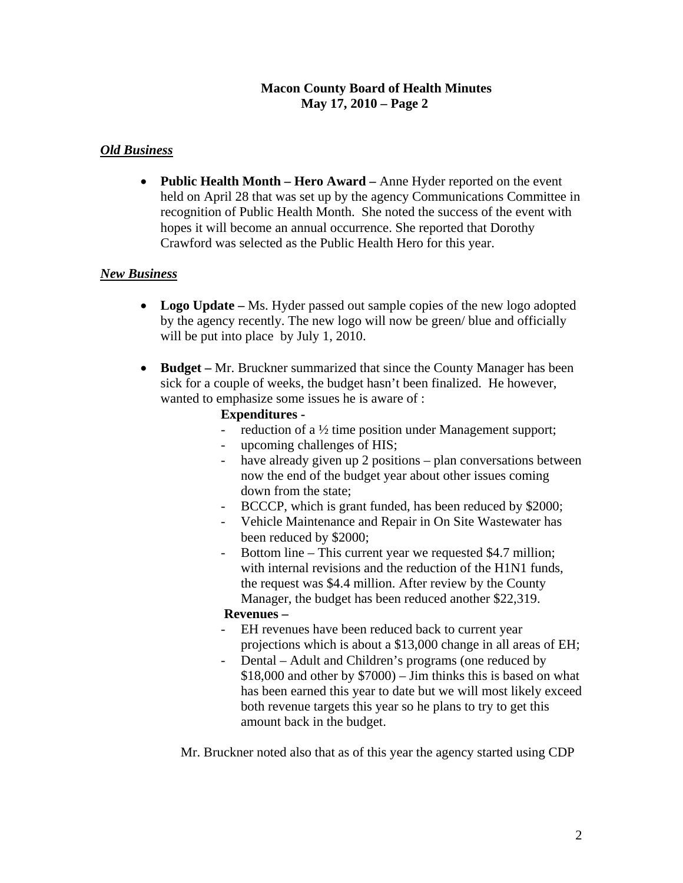# **Macon County Board of Health Minutes May 17, 2010 – Page 2**

# *Old Business*

• **Public Health Month – Hero Award –** Anne Hyder reported on the event held on April 28 that was set up by the agency Communications Committee in recognition of Public Health Month. She noted the success of the event with hopes it will become an annual occurrence. She reported that Dorothy Crawford was selected as the Public Health Hero for this year.

## *New Business*

- **Logo Update** Ms. Hyder passed out sample copies of the new logo adopted by the agency recently. The new logo will now be green/ blue and officially will be put into place by July 1, 2010.
- **Budget** Mr. Bruckner summarized that since the County Manager has been sick for a couple of weeks, the budget hasn't been finalized. He however, wanted to emphasize some issues he is aware of :

### **Expenditures -**

- reduction of a  $\frac{1}{2}$  time position under Management support;
- upcoming challenges of HIS;
- have already given up 2 positions plan conversations between now the end of the budget year about other issues coming down from the state;
- BCCCP, which is grant funded, has been reduced by \$2000;
- Vehicle Maintenance and Repair in On Site Wastewater has been reduced by \$2000;
- Bottom line This current year we requested \$4.7 million; with internal revisions and the reduction of the H1N1 funds. the request was \$4.4 million. After review by the County Manager, the budget has been reduced another \$22,319.

### **Revenues –**

- EH revenues have been reduced back to current year projections which is about a \$13,000 change in all areas of EH;
- Dental Adult and Children's programs (one reduced by \$18,000 and other by \$7000) – Jim thinks this is based on what has been earned this year to date but we will most likely exceed both revenue targets this year so he plans to try to get this amount back in the budget.

Mr. Bruckner noted also that as of this year the agency started using CDP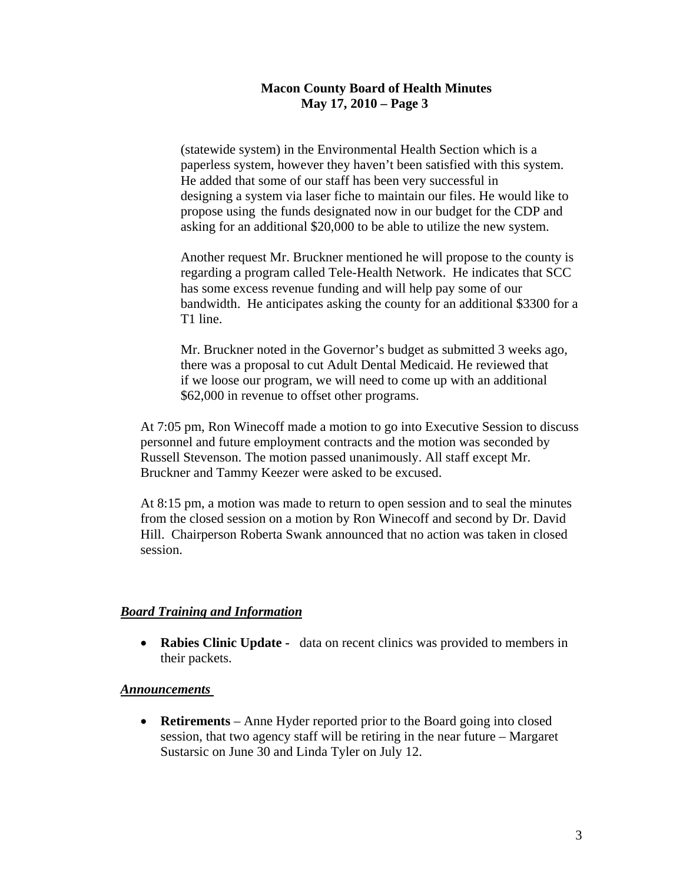## **Macon County Board of Health Minutes May 17, 2010 – Page 3**

 (statewide system) in the Environmental Health Section which is a paperless system, however they haven't been satisfied with this system. He added that some of our staff has been very successful in designing a system via laser fiche to maintain our files. He would like to propose using the funds designated now in our budget for the CDP and asking for an additional \$20,000 to be able to utilize the new system.

Another request Mr. Bruckner mentioned he will propose to the county is regarding a program called Tele-Health Network. He indicates that SCC has some excess revenue funding and will help pay some of our bandwidth. He anticipates asking the county for an additional \$3300 for a T1 line.

 Mr. Bruckner noted in the Governor's budget as submitted 3 weeks ago, there was a proposal to cut Adult Dental Medicaid. He reviewed that if we loose our program, we will need to come up with an additional \$62,000 in revenue to offset other programs.

 At 7:05 pm, Ron Winecoff made a motion to go into Executive Session to discuss personnel and future employment contracts and the motion was seconded by Russell Stevenson. The motion passed unanimously. All staff except Mr. Bruckner and Tammy Keezer were asked to be excused.

 At 8:15 pm, a motion was made to return to open session and to seal the minutes from the closed session on a motion by Ron Winecoff and second by Dr. David Hill. Chairperson Roberta Swank announced that no action was taken in closed session.

### *Board Training and Information*

• **Rabies Clinic Update** - data on recent clinics was provided to members in their packets.

#### *Announcements*

• **Retirements** – Anne Hyder reported prior to the Board going into closed session, that two agency staff will be retiring in the near future – Margaret Sustarsic on June 30 and Linda Tyler on July 12.